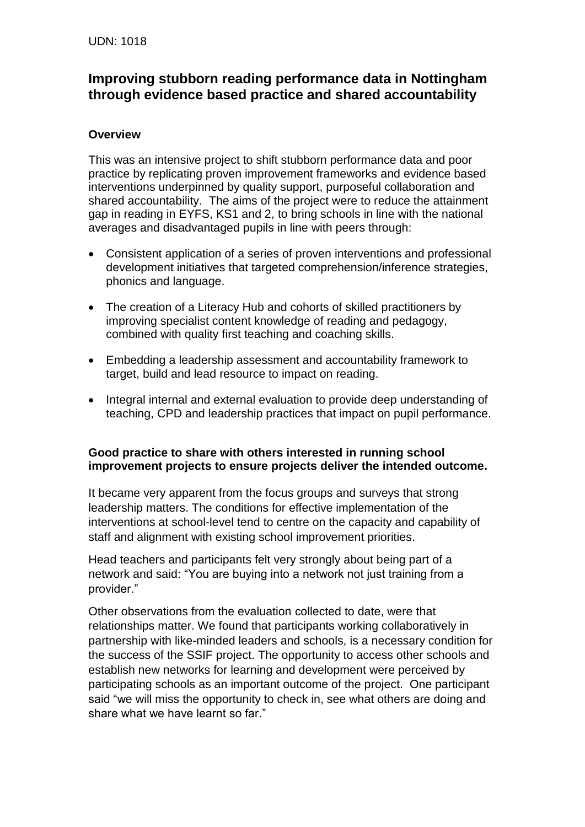## **Improving stubborn reading performance data in Nottingham through evidence based practice and shared accountability**

## **Overview**

This was an intensive project to shift stubborn performance data and poor practice by replicating proven improvement frameworks and evidence based interventions underpinned by quality support, purposeful collaboration and shared accountability. The aims of the project were to reduce the attainment gap in reading in EYFS, KS1 and 2, to bring schools in line with the national averages and disadvantaged pupils in line with peers through:

- Consistent application of a series of proven interventions and professional development initiatives that targeted comprehension/inference strategies, phonics and language.
- The creation of a Literacy Hub and cohorts of skilled practitioners by improving specialist content knowledge of reading and pedagogy, combined with quality first teaching and coaching skills.
- Embedding a leadership assessment and accountability framework to target, build and lead resource to impact on reading.
- Integral internal and external evaluation to provide deep understanding of teaching, CPD and leadership practices that impact on pupil performance.

## **Good practice to share with others interested in running school improvement projects to ensure projects deliver the intended outcome.**

It became very apparent from the focus groups and surveys that strong leadership matters. The conditions for effective implementation of the interventions at school-level tend to centre on the capacity and capability of staff and alignment with existing school improvement priorities.

Head teachers and participants felt very strongly about being part of a network and said: "You are buying into a network not just training from a provider."

Other observations from the evaluation collected to date, were that relationships matter. We found that participants working collaboratively in partnership with like-minded leaders and schools, is a necessary condition for the success of the SSIF project. The opportunity to access other schools and establish new networks for learning and development were perceived by participating schools as an important outcome of the project. One participant said "we will miss the opportunity to check in, see what others are doing and share what we have learnt so far."